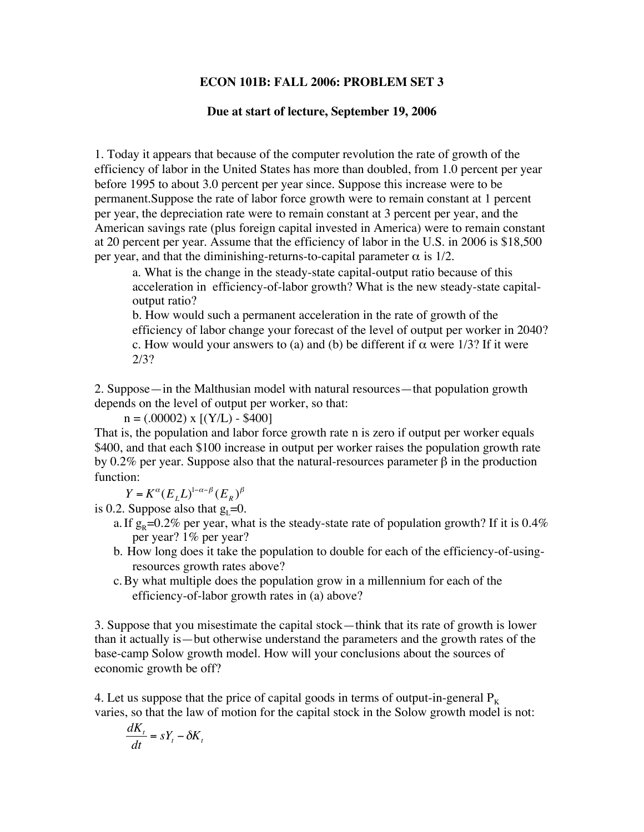## **ECON 101B: FALL 2006: PROBLEM SET 3**

## **Due at start of lecture, September 19, 2006**

1. Today it appears that because of the computer revolution the rate of growth of the efficiency of labor in the United States has more than doubled, from 1.0 percent per year before 1995 to about 3.0 percent per year since. Suppose this increase were to be permanent.Suppose the rate of labor force growth were to remain constant at 1 percent per year, the depreciation rate were to remain constant at 3 percent per year, and the American savings rate (plus foreign capital invested in America) were to remain constant at 20 percent per year. Assume that the efficiency of labor in the U.S. in 2006 is \$18,500 per year, and that the diminishing-returns-to-capital parameter  $\alpha$  is 1/2.

a. What is the change in the steady-state capital-output ratio because of this acceleration in efficiency-of-labor growth? What is the new steady-state capitaloutput ratio?

b. How would such a permanent acceleration in the rate of growth of the efficiency of labor change your forecast of the level of output per worker in 2040? c. How would your answers to (a) and (b) be different if  $\alpha$  were 1/3? If it were 2/3?

2. Suppose—in the Malthusian model with natural resources—that population growth depends on the level of output per worker, so that:

 $n = (.00002)$  x  $[(Y/L) - $400]$ 

That is, the population and labor force growth rate n is zero if output per worker equals \$400, and that each \$100 increase in output per worker raises the population growth rate by 0.2% per year. Suppose also that the natural-resources parameter  $β$  in the production function:

 $Y = K^{\alpha} (E_L L)^{1-\alpha-\beta} (E_R)^{\beta}$ 

is 0.2. Suppose also that  $g_1=0$ .

- a. If  $g_p=0.2\%$  per year, what is the steady-state rate of population growth? If it is 0.4% per year? 1% per year?
- b. How long does it take the population to double for each of the efficiency-of-usingresources growth rates above?
- c.By what multiple does the population grow in a millennium for each of the efficiency-of-labor growth rates in (a) above?

3. Suppose that you misestimate the capital stock—think that its rate of growth is lower than it actually is—but otherwise understand the parameters and the growth rates of the base-camp Solow growth model. How will your conclusions about the sources of economic growth be off?

4. Let us suppose that the price of capital goods in terms of output-in-general  $P_K$ varies, so that the law of motion for the capital stock in the Solow growth model is not:

$$
\frac{dK_t}{dt} = sY_t - \delta K_t
$$